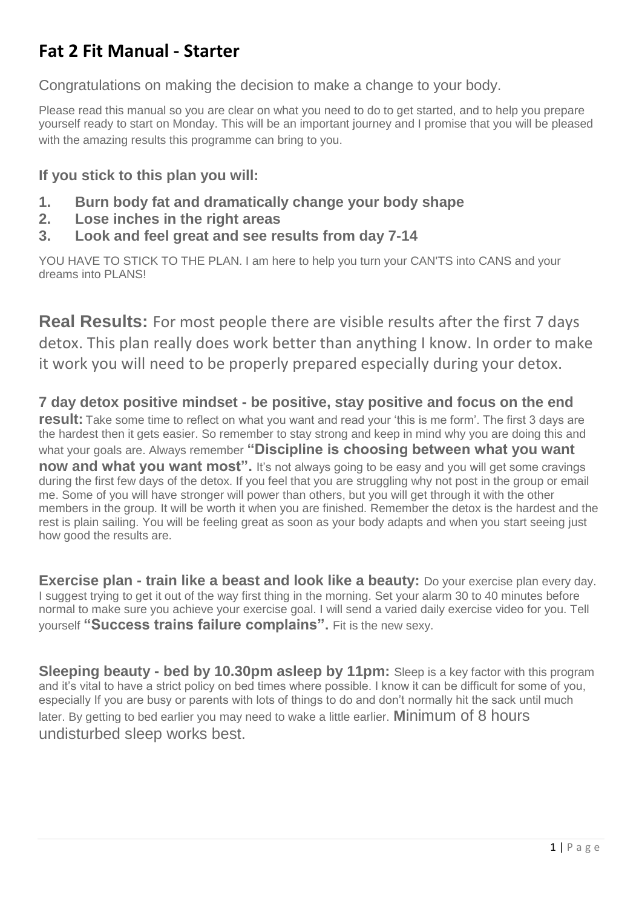## **Fat 2 Fit Manual - Starter**

Congratulations on making the decision to make a change to your body.

Please read this manual so you are clear on what you need to do to get started, and to help you prepare yourself ready to start on Monday. This will be an important journey and I promise that you will be pleased with the amazing results this programme can bring to you.

#### **If you stick to this plan you will:**

- **1. Burn body fat and dramatically change your body shape**
- **2. Lose inches in the right areas**
- **3. Look and feel great and see results from day 7-14**

YOU HAVE TO STICK TO THE PLAN. I am here to help you turn your CAN'TS into CANS and your dreams into PLANS!

**Real Results:** For most people there are visible results after the first 7 days detox. This plan really does work better than anything I know. In order to make it work you will need to be properly prepared especially during your detox.

**7 day detox positive mindset - be positive, stay positive and focus on the end result:** Take some time to reflect on what you want and read your 'this is me form'. The first 3 days are the hardest then it gets easier. So remember to stay strong and keep in mind why you are doing this and what your goals are. Always remember **"Discipline is choosing between what you want now and what you want most".** It's not always going to be easy and you will get some cravings during the first few days of the detox. If you feel that you are struggling why not post in the group or email me. Some of you will have stronger will power than others, but you will get through it with the other members in the group. It will be worth it when you are finished. Remember the detox is the hardest and the rest is plain sailing. You will be feeling great as soon as your body adapts and when you start seeing just how good the results are.

**Exercise plan - train like a beast and look like a beauty:** Do your exercise plan every day. I suggest trying to get it out of the way first thing in the morning. Set your alarm 30 to 40 minutes before normal to make sure you achieve your exercise goal. I will send a varied daily exercise video for you. Tell yourself **"Success trains failure complains".** Fit is the new sexy.

**Sleeping beauty - bed by 10.30pm asleep by 11pm:** Sleep is a key factor with this program and it's vital to have a strict policy on bed times where possible. I know it can be difficult for some of you, especially If you are busy or parents with lots of things to do and don't normally hit the sack until much later. By getting to bed earlier you may need to wake a little earlier. **M**inimum of 8 hours undisturbed sleep works best.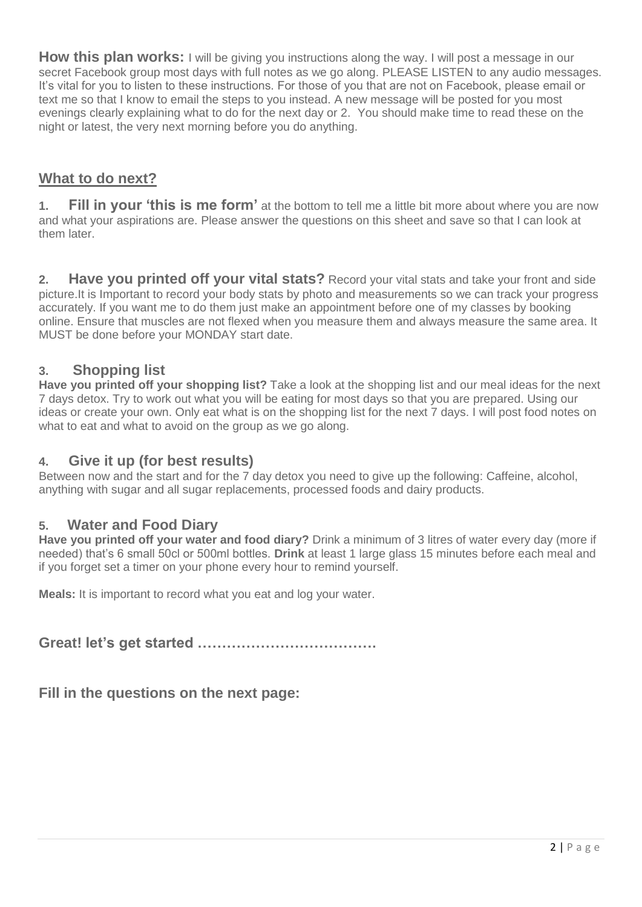How this plan works: I will be giving you instructions along the way. I will post a message in our secret Facebook group most days with full notes as we go along. PLEASE LISTEN to any audio messages. It's vital for you to listen to these instructions. For those of you that are not on Facebook, please email or text me so that I know to email the steps to you instead. A new message will be posted for you most evenings clearly explaining what to do for the next day or 2. You should make time to read these on the night or latest, the very next morning before you do anything.

### **What to do next?**

**1. Fill in your 'this is me form'** at the bottom to tell me a little bit more about where you are now and what your aspirations are. Please answer the questions on this sheet and save so that I can look at them later.

**2. Have you printed off your vital stats?** Record your vital stats and take your front and side picture.It is Important to record your body stats by photo and measurements so we can track your progress accurately. If you want me to do them just make an appointment before one of my classes by booking online. Ensure that muscles are not flexed when you measure them and always measure the same area. It MUST be done before your MONDAY start date.

#### **3. Shopping list**

**Have you printed off your shopping list?** Take a look at the shopping list and our meal ideas for the next 7 days detox. Try to work out what you will be eating for most days so that you are prepared. Using our ideas or create your own. Only eat what is on the shopping list for the next 7 days. I will post food notes on what to eat and what to avoid on the group as we go along.

#### **4. Give it up (for best results)**

Between now and the start and for the 7 day detox you need to give up the following: Caffeine, alcohol, anything with sugar and all sugar replacements, processed foods and dairy products.

#### **5. Water and Food Diary**

**Have you printed off your water and food diary?** Drink a minimum of 3 litres of water every day (more if needed) that's 6 small 50cl or 500ml bottles. **Drink** at least 1 large glass 15 minutes before each meal and if you forget set a timer on your phone every hour to remind yourself.

**Meals:** It is important to record what you eat and log your water.

**Great! let's get started ……………………………….**

**Fill in the questions on the next page:**